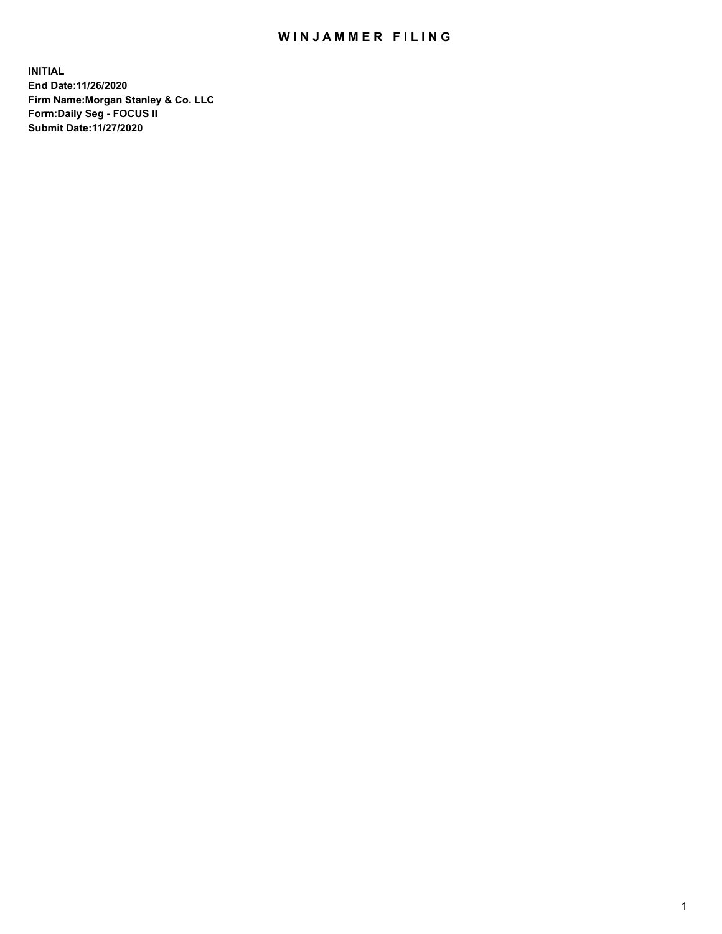## WIN JAMMER FILING

**INITIAL End Date:11/26/2020 Firm Name:Morgan Stanley & Co. LLC Form:Daily Seg - FOCUS II Submit Date:11/27/2020**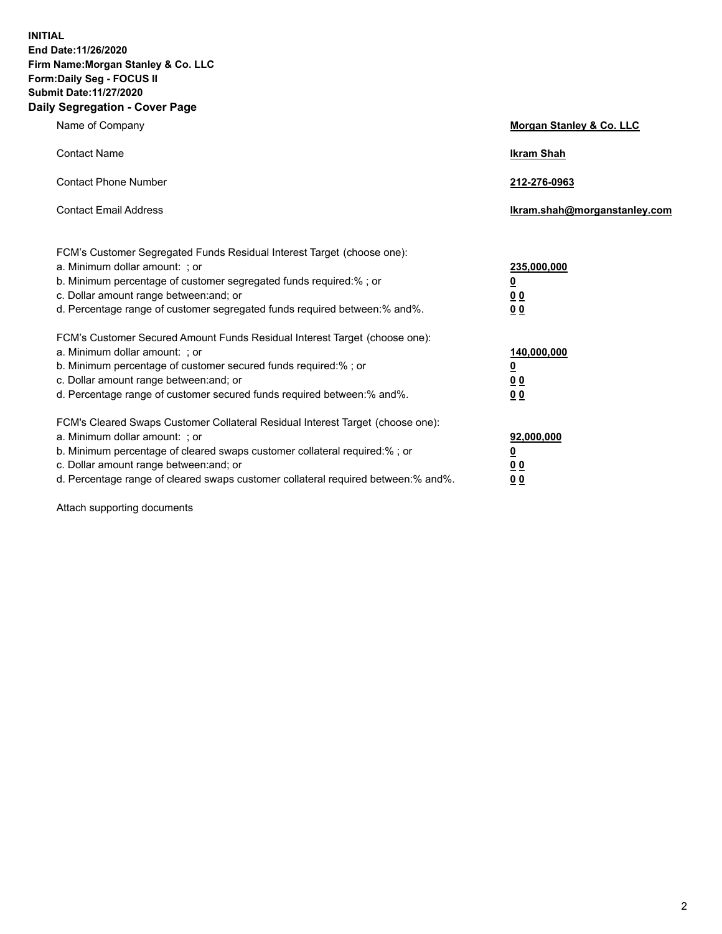**INITIAL End Date:11/26/2020 Firm Name:Morgan Stanley & Co. LLC Form:Daily Seg - FOCUS II Submit Date:11/27/2020 Daily Segregation - Cover Page**

| Name of Company                                                                                                                                                                                                                                                                                                                | Morgan Stanley & Co. LLC                                |
|--------------------------------------------------------------------------------------------------------------------------------------------------------------------------------------------------------------------------------------------------------------------------------------------------------------------------------|---------------------------------------------------------|
| <b>Contact Name</b>                                                                                                                                                                                                                                                                                                            | <b>Ikram Shah</b>                                       |
| <b>Contact Phone Number</b>                                                                                                                                                                                                                                                                                                    | 212-276-0963                                            |
| <b>Contact Email Address</b>                                                                                                                                                                                                                                                                                                   | Ikram.shah@morganstanley.com                            |
| FCM's Customer Segregated Funds Residual Interest Target (choose one):<br>a. Minimum dollar amount: ; or<br>b. Minimum percentage of customer segregated funds required:%; or<br>c. Dollar amount range between: and; or<br>d. Percentage range of customer segregated funds required between: % and %.                        | 235,000,000<br><u>0</u><br>00<br>0 Q                    |
| FCM's Customer Secured Amount Funds Residual Interest Target (choose one):<br>a. Minimum dollar amount: ; or<br>b. Minimum percentage of customer secured funds required:%; or<br>c. Dollar amount range between: and; or<br>d. Percentage range of customer secured funds required between:% and%.                            | 140,000,000<br><u>0</u><br><u>0 0</u><br>0 <sub>0</sub> |
| FCM's Cleared Swaps Customer Collateral Residual Interest Target (choose one):<br>a. Minimum dollar amount: ; or<br>b. Minimum percentage of cleared swaps customer collateral required:% ; or<br>c. Dollar amount range between: and; or<br>d. Percentage range of cleared swaps customer collateral required between:% and%. | 92,000,000<br><u>0</u><br><u>00</u><br>00               |

Attach supporting documents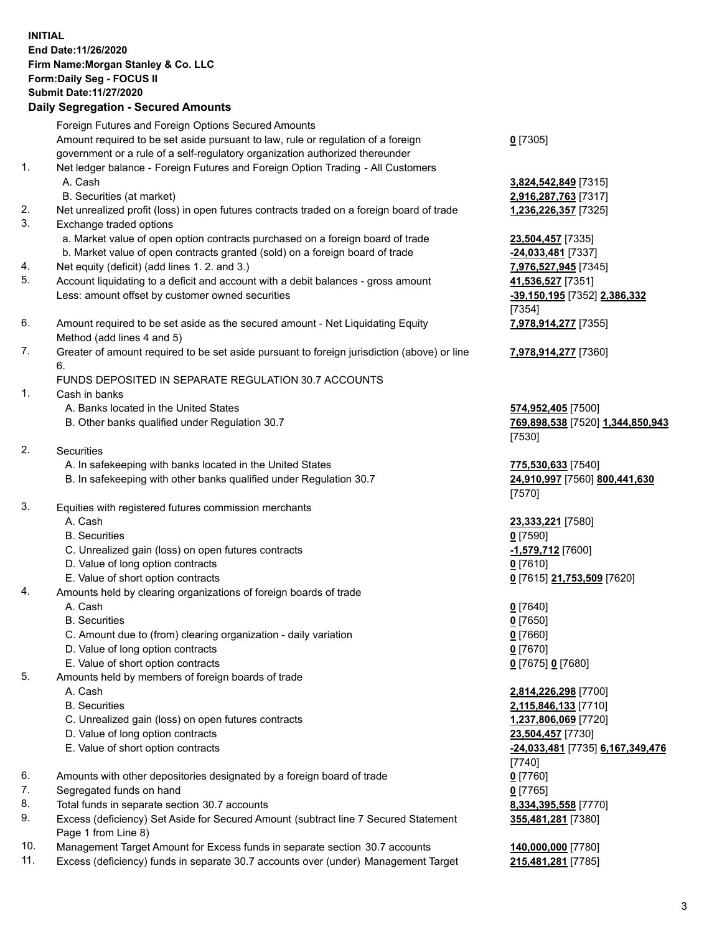## **INITIAL End Date:11/26/2020 Firm Name:Morgan Stanley & Co. LLC Form:Daily Seg - FOCUS II Submit Date:11/27/2020 Daily Segregation - Secured Amounts** Foreign Futures and Foreign Options Secured Amounts Amount required to be set aside pursuant to law, rule or regulation of a foreign government or a rule of a self-regulatory organization authorized thereunder

- 1. Net ledger balance Foreign Futures and Foreign Option Trading All Customers A. Cash **3,824,542,849** [7315]
	- B. Securities (at market) **2,916,287,763** [7317]
- 2. Net unrealized profit (loss) in open futures contracts traded on a foreign board of trade **1,236,226,357** [7325]
- 3. Exchange traded options
	- a. Market value of open option contracts purchased on a foreign board of trade **23,504,457** [7335]
	- b. Market value of open contracts granted (sold) on a foreign board of trade **-24,033,481** [7337]
- 4. Net equity (deficit) (add lines 1. 2. and 3.) **7,976,527,945** [7345]
- 5. Account liquidating to a deficit and account with a debit balances gross amount **41,536,527** [7351] Less: amount offset by customer owned securities **-39,150,195** [7352] **2,386,332**
- 6. Amount required to be set aside as the secured amount Net Liquidating Equity Method (add lines 4 and 5)
- 7. Greater of amount required to be set aside pursuant to foreign jurisdiction (above) or line 6.

## FUNDS DEPOSITED IN SEPARATE REGULATION 30.7 ACCOUNTS

- 1. Cash in banks
	- A. Banks located in the United States **574,952,405** [7500]
	- B. Other banks qualified under Regulation 30.7 **769,898,538** [7520] **1,344,850,943**
- 2. Securities
	- A. In safekeeping with banks located in the United States **775,530,633** [7540]
	- B. In safekeeping with other banks qualified under Regulation 30.7 **24,910,997** [7560] **800,441,630**
- 3. Equities with registered futures commission merchants
	-
	- B. Securities **0** [7590]
	- C. Unrealized gain (loss) on open futures contracts **-1,579,712** [7600]
	- D. Value of long option contracts **0** [7610]
	- E. Value of short option contracts **0** [7615] **21,753,509** [7620]
- 4. Amounts held by clearing organizations of foreign boards of trade
	- A. Cash **0** [7640]
	- B. Securities **0** [7650]
	- C. Amount due to (from) clearing organization daily variation **0** [7660]
	- D. Value of long option contracts **0** [7670]
	- E. Value of short option contracts **0** [7675] **0** [7680]
- 5. Amounts held by members of foreign boards of trade
	-
	-
	- C. Unrealized gain (loss) on open futures contracts **1,237,806,069** [7720]
	- D. Value of long option contracts **23,504,457** [7730]
	- E. Value of short option contracts **-24,033,481** [7735] **6,167,349,476**
- 6. Amounts with other depositories designated by a foreign board of trade **0** [7760]
- 7. Segregated funds on hand **0** [7765]
- 8. Total funds in separate section 30.7 accounts **8,334,395,558** [7770]
- 9. Excess (deficiency) Set Aside for Secured Amount (subtract line 7 Secured Statement Page 1 from Line 8)
- 10. Management Target Amount for Excess funds in separate section 30.7 accounts **140,000,000** [7780]
- 11. Excess (deficiency) funds in separate 30.7 accounts over (under) Management Target **215,481,281** [7785]

**0** [7305]

[7354] **7,978,914,277** [7355]

**7,978,914,277** [7360]

[7530]

[7570]

A. Cash **23,333,221** [7580]

 A. Cash **2,814,226,298** [7700] B. Securities **2,115,846,133** [7710] [7740] **355,481,281** [7380]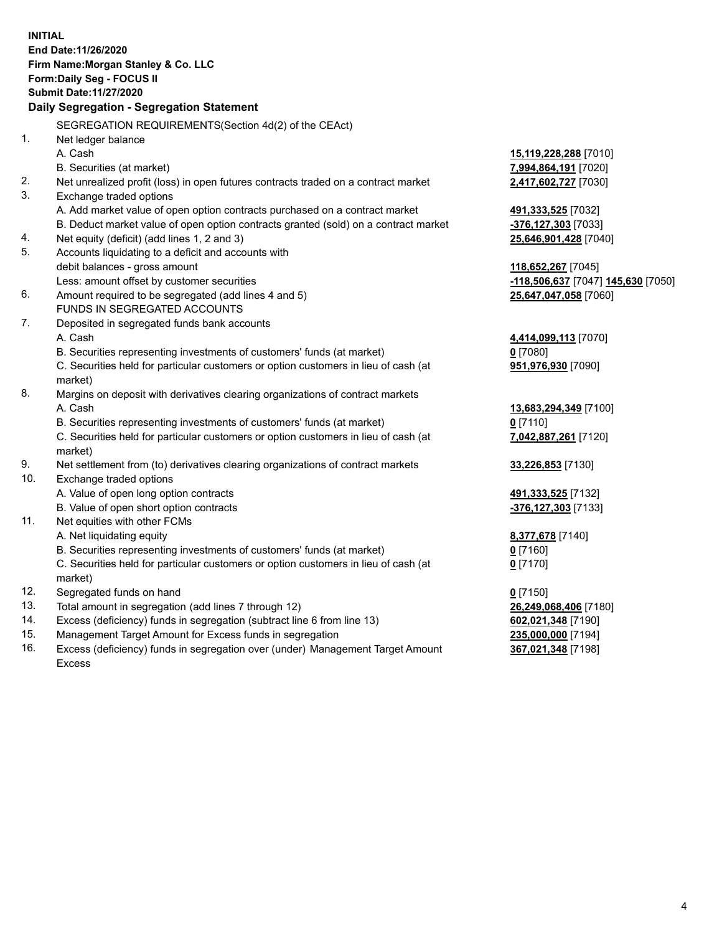**INITIAL End Date:11/26/2020 Firm Name:Morgan Stanley & Co. LLC Form:Daily Seg - FOCUS II Submit Date:11/27/2020 Daily Segregation - Segregation Statement** SEGREGATION REQUIREMENTS(Section 4d(2) of the CEAct) 1. Net ledger balance A. Cash **15,119,228,288** [7010] B. Securities (at market) **7,994,864,191** [7020] 2. Net unrealized profit (loss) in open futures contracts traded on a contract market **2,417,602,727** [7030] 3. Exchange traded options A. Add market value of open option contracts purchased on a contract market **491,333,525** [7032] B. Deduct market value of open option contracts granted (sold) on a contract market **-376,127,303** [7033] 4. Net equity (deficit) (add lines 1, 2 and 3) **25,646,901,428** [7040] 5. Accounts liquidating to a deficit and accounts with debit balances - gross amount **118,652,267** [7045] Less: amount offset by customer securities **-118,506,637** [7047] **145,630** [7050] 6. Amount required to be segregated (add lines 4 and 5) **25,647,047,058** [7060] FUNDS IN SEGREGATED ACCOUNTS 7. Deposited in segregated funds bank accounts A. Cash **4,414,099,113** [7070] B. Securities representing investments of customers' funds (at market) **0** [7080] C. Securities held for particular customers or option customers in lieu of cash (at market) **951,976,930** [7090] 8. Margins on deposit with derivatives clearing organizations of contract markets A. Cash **13,683,294,349** [7100] B. Securities representing investments of customers' funds (at market) **0** [7110] C. Securities held for particular customers or option customers in lieu of cash (at market) **7,042,887,261** [7120] 9. Net settlement from (to) derivatives clearing organizations of contract markets **33,226,853** [7130] 10. Exchange traded options A. Value of open long option contracts **491,333,525** [7132] B. Value of open short option contracts **-376,127,303** [7133] 11. Net equities with other FCMs A. Net liquidating equity **8,377,678** [7140] B. Securities representing investments of customers' funds (at market) **0** [7160] C. Securities held for particular customers or option customers in lieu of cash (at market) **0** [7170] 12. Segregated funds on hand **0** [7150] 13. Total amount in segregation (add lines 7 through 12) **26,249,068,406** [7180] 14. Excess (deficiency) funds in segregation (subtract line 6 from line 13) **602,021,348** [7190] 15. Management Target Amount for Excess funds in segregation **235,000,000** [7194] **367,021,348** [7198]

16. Excess (deficiency) funds in segregation over (under) Management Target Amount Excess